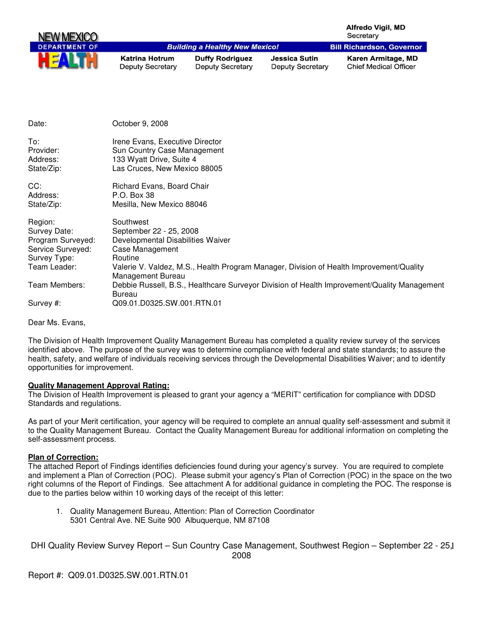|                                                                                                   |                                                                                                                              |                                                   |                                                 | Alfredo Vigil, MD<br>Secretary                                                              |
|---------------------------------------------------------------------------------------------------|------------------------------------------------------------------------------------------------------------------------------|---------------------------------------------------|-------------------------------------------------|---------------------------------------------------------------------------------------------|
| <b>DEPARTMENT OF</b>                                                                              |                                                                                                                              | <b>Building a Healthy New Mexico!</b>             |                                                 | <b>Bill Richardson, Governor</b>                                                            |
|                                                                                                   | <b>Katrina Hotrum</b><br><b>Deputy Secretary</b>                                                                             | <b>Duffy Rodriguez</b><br><b>Deputy Secretary</b> | <b>Jessica Sutin</b><br><b>Deputy Secretary</b> | Karen Armitage, MD<br><b>Chief Medical Officer</b>                                          |
|                                                                                                   |                                                                                                                              |                                                   |                                                 |                                                                                             |
| Date:                                                                                             | October 9, 2008                                                                                                              |                                                   |                                                 |                                                                                             |
| To:<br>Provider:<br>Address:<br>State/Zip:                                                        | Irene Evans, Executive Director<br>Sun Country Case Management<br>133 Wyatt Drive, Suite 4<br>Las Cruces, New Mexico 88005   |                                                   |                                                 |                                                                                             |
| CC:<br>Address:<br>State/Zip:                                                                     | Richard Evans, Board Chair<br>P.O. Box 38<br>Mesilla, New Mexico 88046                                                       |                                                   |                                                 |                                                                                             |
| Region:<br>Survey Date:<br>Program Surveyed:<br>Service Surveyed:<br>Survey Type:<br>Team Leader: | Southwest<br>September 22 - 25, 2008<br>Developmental Disabilities Waiver<br>Case Management<br>Routine<br>Management Bureau |                                                   |                                                 | Valerie V. Valdez, M.S., Health Program Manager, Division of Health Improvement/Quality     |
| Team Members:                                                                                     |                                                                                                                              |                                                   |                                                 | Debbie Russell, B.S., Healthcare Surveyor Division of Health Improvement/Quality Management |

Survey #: Q09.01.D0325.SW.001.RTN.01

Dear Ms. Evans,

The Division of Health Improvement Quality Management Bureau has completed a quality review survey of the services identified above. The purpose of the survey was to determine compliance with federal and state standards; to assure the health, safety, and welfare of individuals receiving services through the Developmental Disabilities Waiver; and to identify opportunities for improvement.

## **Quality Management Approval Rating:**

Bureau

The Division of Health Improvement is pleased to grant your agency a "MERIT" certification for compliance with DDSD Standards and regulations.

As part of your Merit certification, your agency will be required to complete an annual quality self-assessment and submit it to the Quality Management Bureau. Contact the Quality Management Bureau for additional information on completing the self-assessment process.

#### **Plan of Correction:**

The attached Report of Findings identifies deficiencies found during your agency's survey. You are required to complete and implement a Plan of Correction (POC). Please submit your agency's Plan of Correction (POC) in the space on the two right columns of the Report of Findings. See attachment A for additional guidance in completing the POC. The response is due to the parties below within 10 working days of the receipt of this letter:

1. Quality Management Bureau, Attention: Plan of Correction Coordinator 5301 Central Ave. NE Suite 900 Albuquerque, NM 87108

DHI Quality Review Survey Report - Sun Country Case Management, Southwest Region - September 22 - 25,1 2008

Report #: Q09.01.D0325.SW.001.RTN.01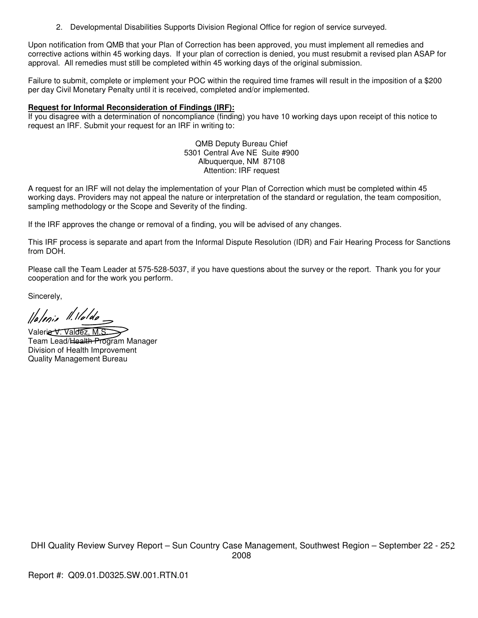2. Developmental Disabilities Supports Division Regional Office for region of service surveyed.

Upon notification from QMB that your Plan of Correction has been approved, you must implement all remedies and corrective actions within 45 working days. If your plan of correction is denied, you must resubmit a revised plan ASAP for approval. All remedies must still be completed within 45 working days of the original submission.

Failure to submit, complete or implement your POC within the required time frames will result in the imposition of a \$200 per day Civil Monetary Penalty until it is received, completed and/or implemented.

## **Request for Informal Reconsideration of Findings (IRF):**

If you disagree with a determination of noncompliance (finding) you have 10 working days upon receipt of this notice to request an IRF. Submit your request for an IRF in writing to:

> QMB Deputy Bureau Chief 5301 Central Ave NE Suite #900 Albuquerque, NM 87108 Attention: IRF request

A request for an IRF will not delay the implementation of your Plan of Correction which must be completed within 45 working days. Providers may not appeal the nature or interpretation of the standard or regulation, the team composition, sampling methodology or the Scope and Severity of the finding.

If the IRF approves the change or removal of a finding, you will be advised of any changes.

This IRF process is separate and apart from the Informal Dispute Resolution (IDR) and Fair Hearing Process for Sanctions from DOH.

Please call the Team Leader at 575-528-5037, if you have questions about the survey or the report. Thank you for your cooperation and for the work you perform.

Sincerely,

llalenie II. Halda

Valerie V. Valdez, M.S. Team Lead/Health Program Manager Division of Health Improvement Quality Management Bureau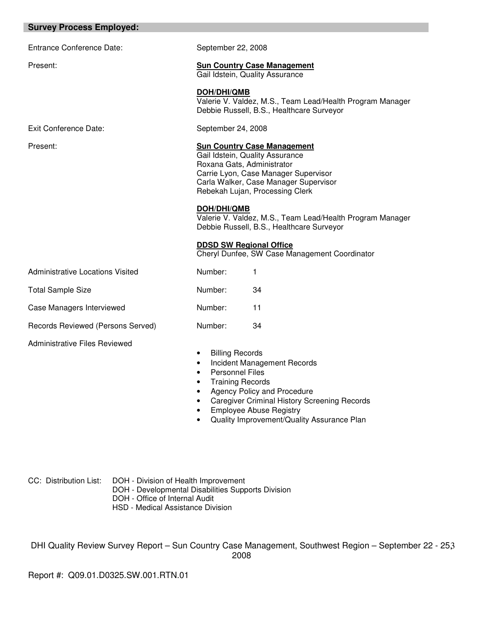## **Survey Process Employed:**

Entrance Conference Date: September 22, 2008

Exit Conference Date: September 24, 2008

# Present: **Sun Country Case Management**

Gail Idstein, Quality Assurance

**DOH/DHI/QMB**  Valerie V. Valdez, M.S., Team Lead/Health Program Manager Debbie Russell, B.S., Healthcare Surveyor

#### Present: **Sun Country Case Management**

Gail Idstein, Quality Assurance Roxana Gats, Administrator Carrie Lyon, Case Manager Supervisor Carla Walker, Case Manager Supervisor Rebekah Lujan, Processing Clerk

#### **DOH/DHI/QMB**

Valerie V. Valdez, M.S., Team Lead/Health Program Manager Debbie Russell, B.S., Healthcare Surveyor

#### **DDSD SW Regional Office**

Cheryl Dunfee, SW Case Management Coordinator

| <b>Administrative Locations Visited</b> | Number: |    |
|-----------------------------------------|---------|----|
| Total Sample Size                       | Number: | 34 |
| Case Managers Interviewed               | Number: | 11 |
| Records Reviewed (Persons Served)       | Number: | 34 |

Administrative Files Reviewed

- Billing Records
- Incident Management Records
- Personnel Files
- Training Records
- Agency Policy and Procedure
- Caregiver Criminal History Screening Records
- Employee Abuse Registry
- Quality Improvement/Quality Assurance Plan

CC: Distribution List: DOH - Division of Health Improvement DOH - Developmental Disabilities Supports Division DOH - Office of Internal Audit

HSD - Medical Assistance Division

DHI Quality Review Survey Report - Sun Country Case Management, Southwest Region - September 22 - 253 2008

Report #: Q09.01.D0325.SW.001.RTN.01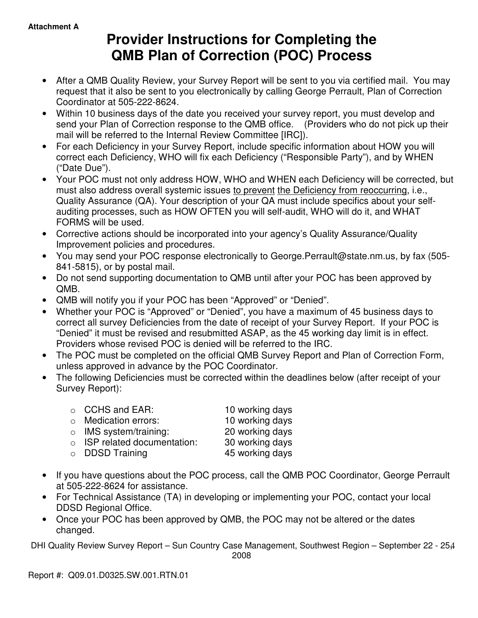# **Provider Instructions for Completing the QMB Plan of Correction (POC) Process**

- After a QMB Quality Review, your Survey Report will be sent to you via certified mail. You may request that it also be sent to you electronically by calling George Perrault, Plan of Correction Coordinator at 505-222-8624.
- Within 10 business days of the date you received your survey report, you must develop and send your Plan of Correction response to the QMB office. (Providers who do not pick up their mail will be referred to the Internal Review Committee [IRC]).
- For each Deficiency in your Survey Report, include specific information about HOW you will correct each Deficiency, WHO will fix each Deficiency ("Responsible Party"), and by WHEN ("Date Due").
- Your POC must not only address HOW, WHO and WHEN each Deficiency will be corrected, but must also address overall systemic issues to prevent the Deficiency from reoccurring, i.e., Quality Assurance (QA). Your description of your QA must include specifics about your selfauditing processes, such as HOW OFTEN you will self-audit, WHO will do it, and WHAT FORMS will be used.
- Corrective actions should be incorporated into your agency's Quality Assurance/Quality Improvement policies and procedures.
- You may send your POC response electronically to George.Perrault@state.nm.us, by fax (505- 841-5815), or by postal mail.
- Do not send supporting documentation to QMB until after your POC has been approved by QMB.
- QMB will notify you if your POC has been "Approved" or "Denied".
- Whether your POC is "Approved" or "Denied", you have a maximum of 45 business days to correct all survey Deficiencies from the date of receipt of your Survey Report. If your POC is "Denied" it must be revised and resubmitted ASAP, as the 45 working day limit is in effect. Providers whose revised POC is denied will be referred to the IRC.
- The POC must be completed on the official QMB Survey Report and Plan of Correction Form, unless approved in advance by the POC Coordinator.
- The following Deficiencies must be corrected within the deadlines below (after receipt of your Survey Report):

| $\circ$ CCHS and EAR:              | 10 working days |
|------------------------------------|-----------------|
| $\circ$ Medication errors:         | 10 working days |
| $\circ$ IMS system/training:       | 20 working days |
| $\circ$ ISP related documentation: | 30 working days |
| $\circ$ DDSD Training              | 45 working days |
|                                    |                 |

- If you have questions about the POC process, call the QMB POC Coordinator, George Perrault at 505-222-8624 for assistance.
- For Technical Assistance (TA) in developing or implementing your POC, contact your local DDSD Regional Office.
- Once your POC has been approved by QMB, the POC may not be altered or the dates changed.

DHI Quality Review Survey Report - Sun Country Case Management, Southwest Region - September 22 - 25,4

2008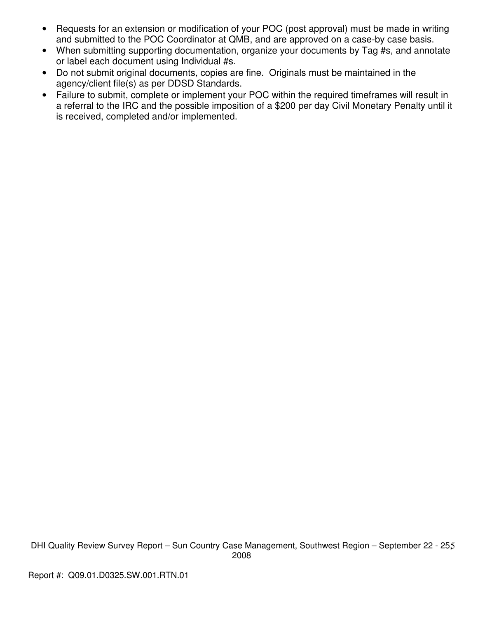- Requests for an extension or modification of your POC (post approval) must be made in writing and submitted to the POC Coordinator at QMB, and are approved on a case-by case basis.
- When submitting supporting documentation, organize your documents by Tag #s, and annotate or label each document using Individual #s.
- Do not submit original documents, copies are fine. Originals must be maintained in the agency/client file(s) as per DDSD Standards.
- Failure to submit, complete or implement your POC within the required timeframes will result in a referral to the IRC and the possible imposition of a \$200 per day Civil Monetary Penalty until it is received, completed and/or implemented.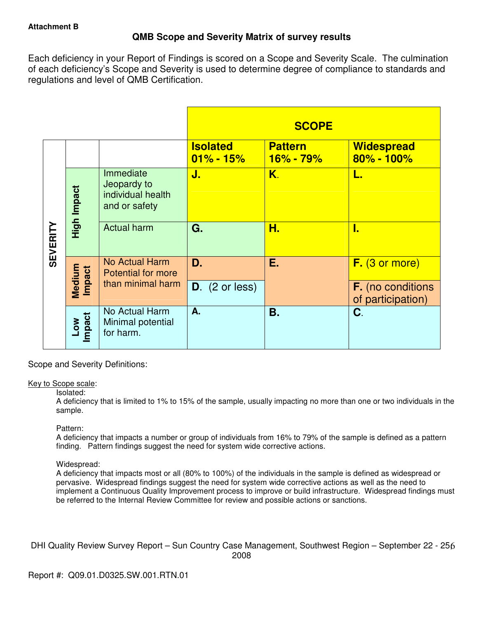## **QMB Scope and Severity Matrix of survey results**

Each deficiency in your Report of Findings is scored on a Scope and Severity Scale. The culmination of each deficiency's Scope and Severity is used to determine degree of compliance to standards and regulations and level of QMB Certification.

|                 |                  |                                                                |                                  | <b>SCOPE</b>                |                                               |
|-----------------|------------------|----------------------------------------------------------------|----------------------------------|-----------------------------|-----------------------------------------------|
|                 |                  |                                                                | <b>Isolated</b><br>$01\% - 15\%$ | <b>Pattern</b><br>16% - 79% | <b>Widespread</b><br>80% - 100%               |
| <b>SEVERITY</b> | High Impact      | Immediate<br>Jeopardy to<br>individual health<br>and or safety | J.                               | K.                          | L.                                            |
|                 |                  | <b>Actual harm</b>                                             | G.                               | Н.                          | I.                                            |
|                 |                  | No Actual Harm<br><b>Potential for more</b>                    | D.                               | Е.                          | $F.$ (3 or more)                              |
|                 | Medium<br>Impact | than minimal harm                                              | $D.$ (2 or less)                 |                             | <b>F.</b> (no conditions<br>of participation) |
|                 | Low<br>Impact    | No Actual Harm<br>Minimal potential<br>for harm.               | A.                               | Β.                          | C.                                            |

Scope and Severity Definitions:

## Key to Scope scale:

## Isolated:

A deficiency that is limited to 1% to 15% of the sample, usually impacting no more than one or two individuals in the sample.

## Pattern:

A deficiency that impacts a number or group of individuals from 16% to 79% of the sample is defined as a pattern finding. Pattern findings suggest the need for system wide corrective actions.

## Widespread:

A deficiency that impacts most or all (80% to 100%) of the individuals in the sample is defined as widespread or pervasive. Widespread findings suggest the need for system wide corrective actions as well as the need to implement a Continuous Quality Improvement process to improve or build infrastructure. Widespread findings must be referred to the Internal Review Committee for review and possible actions or sanctions.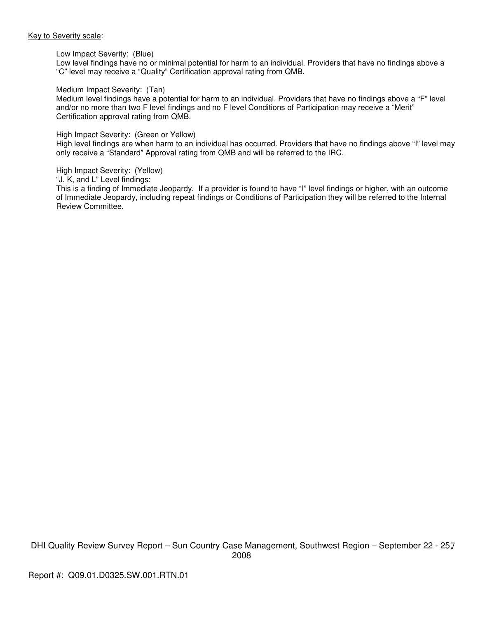#### Key to Severity scale:

#### Low Impact Severity: (Blue)

Low level findings have no or minimal potential for harm to an individual. Providers that have no findings above a "C" level may receive a "Quality" Certification approval rating from QMB.

#### Medium Impact Severity: (Tan)

Medium level findings have a potential for harm to an individual. Providers that have no findings above a "F" level and/or no more than two F level findings and no F level Conditions of Participation may receive a "Merit" Certification approval rating from QMB.

#### High Impact Severity: (Green or Yellow)

High level findings are when harm to an individual has occurred. Providers that have no findings above "I" level may only receive a "Standard" Approval rating from QMB and will be referred to the IRC.

#### High Impact Severity: (Yellow)

"J, K, and L" Level findings:

This is a finding of Immediate Jeopardy. If a provider is found to have "I" level findings or higher, with an outcome of Immediate Jeopardy, including repeat findings or Conditions of Participation they will be referred to the Internal Review Committee.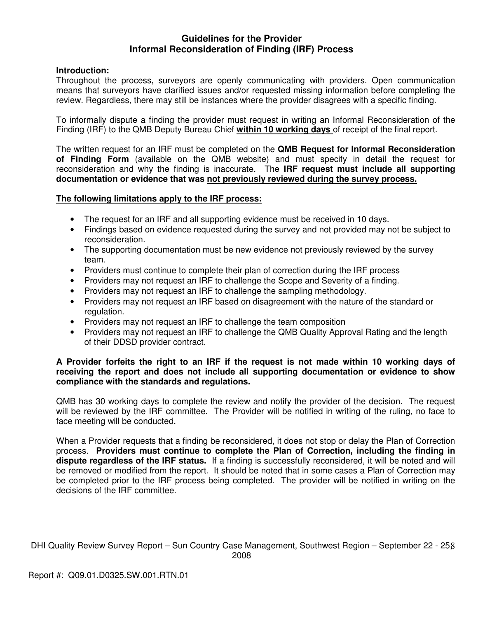## **Guidelines for the Provider Informal Reconsideration of Finding (IRF) Process**

## **Introduction:**

Throughout the process, surveyors are openly communicating with providers. Open communication means that surveyors have clarified issues and/or requested missing information before completing the review. Regardless, there may still be instances where the provider disagrees with a specific finding.

To informally dispute a finding the provider must request in writing an Informal Reconsideration of the Finding (IRF) to the QMB Deputy Bureau Chief **within 10 working days** of receipt of the final report.

The written request for an IRF must be completed on the **QMB Request for Informal Reconsideration of Finding Form** (available on the QMB website) and must specify in detail the request for reconsideration and why the finding is inaccurate. The **IRF request must include all supporting documentation or evidence that was not previously reviewed during the survey process.** 

## **The following limitations apply to the IRF process:**

- The request for an IRF and all supporting evidence must be received in 10 days.
- Findings based on evidence requested during the survey and not provided may not be subject to reconsideration.
- The supporting documentation must be new evidence not previously reviewed by the survey team.
- Providers must continue to complete their plan of correction during the IRF process
- Providers may not request an IRF to challenge the Scope and Severity of a finding.
- Providers may not request an IRF to challenge the sampling methodology.
- Providers may not request an IRF based on disagreement with the nature of the standard or regulation.
- Providers may not request an IRF to challenge the team composition
- Providers may not request an IRF to challenge the QMB Quality Approval Rating and the length of their DDSD provider contract.

## **A Provider forfeits the right to an IRF if the request is not made within 10 working days of receiving the report and does not include all supporting documentation or evidence to show compliance with the standards and regulations.**

QMB has 30 working days to complete the review and notify the provider of the decision. The request will be reviewed by the IRF committee. The Provider will be notified in writing of the ruling, no face to face meeting will be conducted.

When a Provider requests that a finding be reconsidered, it does not stop or delay the Plan of Correction process. **Providers must continue to complete the Plan of Correction, including the finding in dispute regardless of the IRF status.** If a finding is successfully reconsidered, it will be noted and will be removed or modified from the report. It should be noted that in some cases a Plan of Correction may be completed prior to the IRF process being completed. The provider will be notified in writing on the decisions of the IRF committee.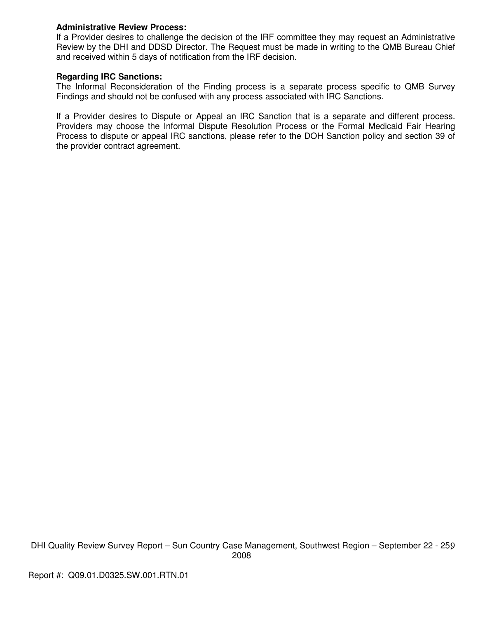## **Administrative Review Process:**

If a Provider desires to challenge the decision of the IRF committee they may request an Administrative Review by the DHI and DDSD Director. The Request must be made in writing to the QMB Bureau Chief and received within 5 days of notification from the IRF decision.

## **Regarding IRC Sanctions:**

The Informal Reconsideration of the Finding process is a separate process specific to QMB Survey Findings and should not be confused with any process associated with IRC Sanctions.

If a Provider desires to Dispute or Appeal an IRC Sanction that is a separate and different process. Providers may choose the Informal Dispute Resolution Process or the Formal Medicaid Fair Hearing Process to dispute or appeal IRC sanctions, please refer to the DOH Sanction policy and section 39 of the provider contract agreement.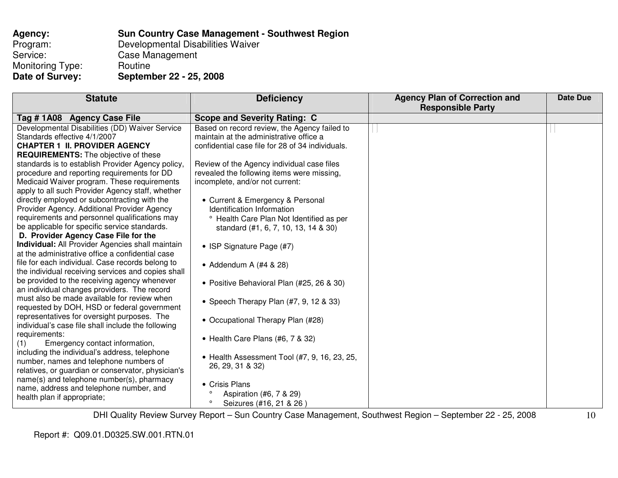| Agency:          | <b>Sun Country Case Management - Southwest Region</b> |
|------------------|-------------------------------------------------------|
| Program:         | Developmental Disabilities Waiver                     |
| Service:         | Case Management                                       |
| Monitoring Type: | Routine                                               |
| Date of Survey:  | September 22 - 25, 2008                               |

| <b>Statute</b>                                     | <b>Deficiency</b>                                | <b>Agency Plan of Correction and</b><br><b>Responsible Party</b> | <b>Date Due</b> |
|----------------------------------------------------|--------------------------------------------------|------------------------------------------------------------------|-----------------|
| Tag #1A08 Agency Case File                         | <b>Scope and Severity Rating: C</b>              |                                                                  |                 |
| Developmental Disabilities (DD) Waiver Service     | Based on record review, the Agency failed to     |                                                                  |                 |
| Standards effective 4/1/2007                       | maintain at the administrative office a          |                                                                  |                 |
| <b>CHAPTER 1 II. PROVIDER AGENCY</b>               | confidential case file for 28 of 34 individuals. |                                                                  |                 |
| <b>REQUIREMENTS:</b> The objective of these        |                                                  |                                                                  |                 |
| standards is to establish Provider Agency policy,  | Review of the Agency individual case files       |                                                                  |                 |
| procedure and reporting requirements for DD        | revealed the following items were missing,       |                                                                  |                 |
| Medicaid Waiver program. These requirements        | incomplete, and/or not current:                  |                                                                  |                 |
| apply to all such Provider Agency staff, whether   |                                                  |                                                                  |                 |
| directly employed or subcontracting with the       | • Current & Emergency & Personal                 |                                                                  |                 |
| Provider Agency. Additional Provider Agency        | Identification Information                       |                                                                  |                 |
| requirements and personnel qualifications may      | ° Health Care Plan Not Identified as per         |                                                                  |                 |
| be applicable for specific service standards.      | standard (#1, 6, 7, 10, 13, 14 & 30)             |                                                                  |                 |
| D. Provider Agency Case File for the               |                                                  |                                                                  |                 |
| Individual: All Provider Agencies shall maintain   | • ISP Signature Page (#7)                        |                                                                  |                 |
| at the administrative office a confidential case   |                                                  |                                                                  |                 |
| file for each individual. Case records belong to   | • Addendum A $(\#4 \& 28)$                       |                                                                  |                 |
| the individual receiving services and copies shall |                                                  |                                                                  |                 |
| be provided to the receiving agency whenever       | • Positive Behavioral Plan (#25, 26 & 30)        |                                                                  |                 |
| an individual changes providers. The record        |                                                  |                                                                  |                 |
| must also be made available for review when        | • Speech Therapy Plan (#7, 9, 12 & 33)           |                                                                  |                 |
| requested by DOH, HSD or federal government        |                                                  |                                                                  |                 |
| representatives for oversight purposes. The        | • Occupational Therapy Plan (#28)                |                                                                  |                 |
| individual's case file shall include the following |                                                  |                                                                  |                 |
| requirements:                                      | • Health Care Plans (#6, 7 & 32)                 |                                                                  |                 |
| Emergency contact information,<br>(1)              |                                                  |                                                                  |                 |
| including the individual's address, telephone      | • Health Assessment Tool (#7, 9, 16, 23, 25,     |                                                                  |                 |
| number, names and telephone numbers of             | 26, 29, 31 & 32)                                 |                                                                  |                 |
| relatives, or guardian or conservator, physician's |                                                  |                                                                  |                 |
| name(s) and telephone number(s), pharmacy          | • Crisis Plans                                   |                                                                  |                 |
| name, address and telephone number, and            | $\circ$                                          |                                                                  |                 |
| health plan if appropriate;                        | Aspiration (#6, 7 & 29)<br>$\circ$               |                                                                  |                 |
|                                                    | Seizures (#16, 21 & 26)                          |                                                                  |                 |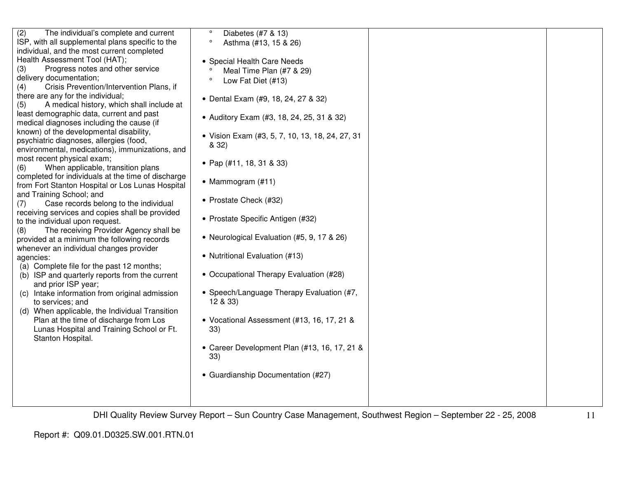| (2)<br>The individual's complete and current<br>ISP, with all supplemental plans specific to the<br>individual, and the most current completed<br>Health Assessment Tool (HAT);<br>Progress notes and other service<br>(3)<br>delivery documentation;<br>Crisis Prevention/Intervention Plans, if<br>(4)<br>there are any for the individual;<br>A medical history, which shall include at<br>(5)<br>least demographic data, current and past<br>medical diagnoses including the cause (if<br>known) of the developmental disability,<br>psychiatric diagnoses, allergies (food,<br>environmental, medications), immunizations, and<br>most recent physical exam;<br>When applicable, transition plans<br>(6)<br>completed for individuals at the time of discharge<br>from Fort Stanton Hospital or Los Lunas Hospital<br>and Training School; and<br>Case records belong to the individual<br>(7)<br>receiving services and copies shall be provided<br>to the individual upon request.<br>The receiving Provider Agency shall be<br>(8)<br>provided at a minimum the following records<br>whenever an individual changes provider<br>agencies:<br>(a) Complete file for the past 12 months;<br>(b) ISP and quarterly reports from the current<br>and prior ISP year;<br>(c) Intake information from original admission<br>to services; and<br>(d) When applicable, the Individual Transition<br>Plan at the time of discharge from Los<br>Lunas Hospital and Training School or Ft.<br>Stanton Hospital. | $\circ$<br>Diabetes (#7 & 13)<br>$\circ$<br>Asthma (#13, 15 & 26)<br>• Special Health Care Needs<br>Meal Time Plan (#7 & 29)<br>Low Fat Diet (#13)<br>$\circ$<br>• Dental Exam (#9, 18, 24, 27 & 32)<br>• Auditory Exam (#3, 18, 24, 25, 31 & 32)<br>• Vision Exam (#3, 5, 7, 10, 13, 18, 24, 27, 31<br>& 32)<br>• Pap $(#11, 18, 31 \& 33)$<br>• Mammogram (#11)<br>• Prostate Check (#32)<br>• Prostate Specific Antigen (#32)<br>• Neurological Evaluation (#5, 9, 17 & 26)<br>• Nutritional Evaluation (#13)<br>• Occupational Therapy Evaluation (#28)<br>• Speech/Language Therapy Evaluation (#7,<br>12 & 33)<br>• Vocational Assessment (#13, 16, 17, 21 &<br>33)<br>• Career Development Plan (#13, 16, 17, 21 &<br>33)<br>• Guardianship Documentation (#27) |  |
|-------------------------------------------------------------------------------------------------------------------------------------------------------------------------------------------------------------------------------------------------------------------------------------------------------------------------------------------------------------------------------------------------------------------------------------------------------------------------------------------------------------------------------------------------------------------------------------------------------------------------------------------------------------------------------------------------------------------------------------------------------------------------------------------------------------------------------------------------------------------------------------------------------------------------------------------------------------------------------------------------------------------------------------------------------------------------------------------------------------------------------------------------------------------------------------------------------------------------------------------------------------------------------------------------------------------------------------------------------------------------------------------------------------------------------------------------------------------------------------------------------------|------------------------------------------------------------------------------------------------------------------------------------------------------------------------------------------------------------------------------------------------------------------------------------------------------------------------------------------------------------------------------------------------------------------------------------------------------------------------------------------------------------------------------------------------------------------------------------------------------------------------------------------------------------------------------------------------------------------------------------------------------------------------|--|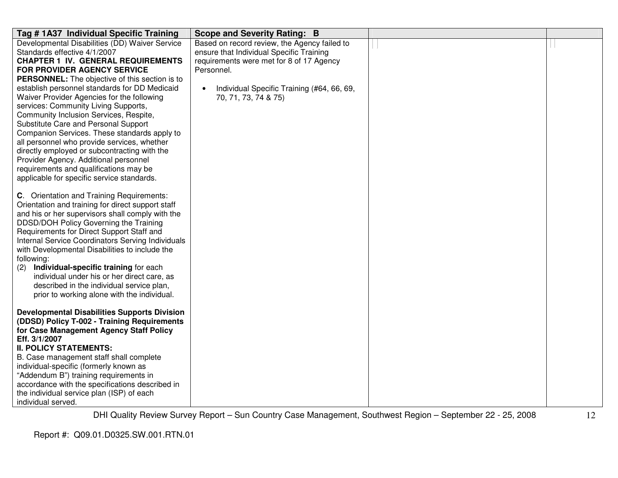| Tag #1A37 Individual Specific Training                                                     | Scope and Severity Rating: B                            |  |
|--------------------------------------------------------------------------------------------|---------------------------------------------------------|--|
| Developmental Disabilities (DD) Waiver Service                                             | Based on record review, the Agency failed to            |  |
| Standards effective 4/1/2007                                                               | ensure that Individual Specific Training                |  |
| <b>CHAPTER 1 IV. GENERAL REQUIREMENTS</b>                                                  | requirements were met for 8 of 17 Agency                |  |
| <b>FOR PROVIDER AGENCY SERVICE</b>                                                         | Personnel.                                              |  |
| <b>PERSONNEL:</b> The objective of this section is to                                      |                                                         |  |
| establish personnel standards for DD Medicaid                                              | Individual Specific Training (#64, 66, 69,<br>$\bullet$ |  |
| Waiver Provider Agencies for the following                                                 | 70, 71, 73, 74 & 75)                                    |  |
| services: Community Living Supports,                                                       |                                                         |  |
| Community Inclusion Services, Respite,                                                     |                                                         |  |
| Substitute Care and Personal Support                                                       |                                                         |  |
| Companion Services. These standards apply to                                               |                                                         |  |
| all personnel who provide services, whether                                                |                                                         |  |
| directly employed or subcontracting with the                                               |                                                         |  |
| Provider Agency. Additional personnel                                                      |                                                         |  |
| requirements and qualifications may be                                                     |                                                         |  |
| applicable for specific service standards.                                                 |                                                         |  |
|                                                                                            |                                                         |  |
| <b>C.</b> Orientation and Training Requirements:                                           |                                                         |  |
| Orientation and training for direct support staff                                          |                                                         |  |
| and his or her supervisors shall comply with the<br>DDSD/DOH Policy Governing the Training |                                                         |  |
| Requirements for Direct Support Staff and                                                  |                                                         |  |
| Internal Service Coordinators Serving Individuals                                          |                                                         |  |
| with Developmental Disabilities to include the                                             |                                                         |  |
| following:                                                                                 |                                                         |  |
| (2)<br>Individual-specific training for each                                               |                                                         |  |
| individual under his or her direct care, as                                                |                                                         |  |
| described in the individual service plan,                                                  |                                                         |  |
| prior to working alone with the individual.                                                |                                                         |  |
|                                                                                            |                                                         |  |
| <b>Developmental Disabilities Supports Division</b>                                        |                                                         |  |
| (DDSD) Policy T-002 - Training Requirements                                                |                                                         |  |
| for Case Management Agency Staff Policy                                                    |                                                         |  |
| Eff. 3/1/2007                                                                              |                                                         |  |
| <b>II. POLICY STATEMENTS:</b>                                                              |                                                         |  |
| B. Case management staff shall complete                                                    |                                                         |  |
| individual-specific (formerly known as                                                     |                                                         |  |
| "Addendum B") training requirements in                                                     |                                                         |  |
| accordance with the specifications described in                                            |                                                         |  |
| the individual service plan (ISP) of each                                                  |                                                         |  |
| individual served.                                                                         |                                                         |  |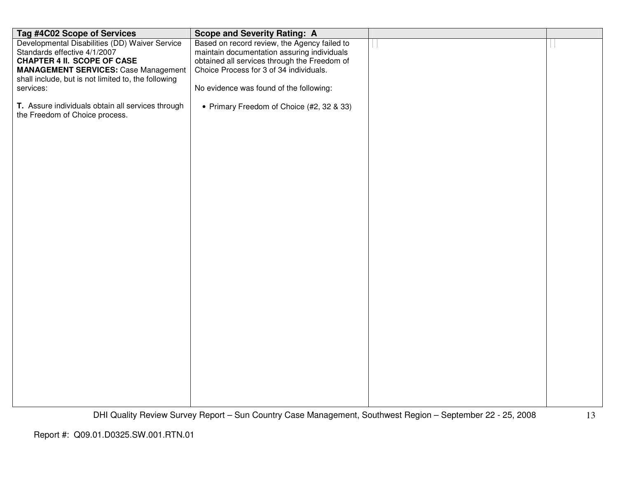| Tag #4C02 Scope of Services                                                         | <b>Scope and Severity Rating: A</b>                                                                        |    |
|-------------------------------------------------------------------------------------|------------------------------------------------------------------------------------------------------------|----|
| Developmental Disabilities (DD) Waiver Service                                      | Based on record review, the Agency failed to                                                               |    |
| Standards effective 4/1/2007                                                        | maintain documentation assuring individuals                                                                |    |
| <b>CHAPTER 4 II. SCOPE OF CASE</b>                                                  | obtained all services through the Freedom of                                                               |    |
| <b>MANAGEMENT SERVICES: Case Management</b>                                         | Choice Process for 3 of 34 individuals.                                                                    |    |
| shall include, but is not limited to, the following                                 |                                                                                                            |    |
| services:                                                                           | No evidence was found of the following:                                                                    |    |
| T. Assure individuals obtain all services through<br>the Freedom of Choice process. | • Primary Freedom of Choice (#2, 32 & 33)                                                                  |    |
|                                                                                     |                                                                                                            |    |
|                                                                                     |                                                                                                            |    |
|                                                                                     |                                                                                                            |    |
|                                                                                     |                                                                                                            |    |
|                                                                                     |                                                                                                            |    |
|                                                                                     |                                                                                                            |    |
|                                                                                     |                                                                                                            |    |
|                                                                                     |                                                                                                            |    |
|                                                                                     |                                                                                                            |    |
|                                                                                     |                                                                                                            |    |
|                                                                                     |                                                                                                            |    |
|                                                                                     |                                                                                                            |    |
|                                                                                     |                                                                                                            |    |
|                                                                                     |                                                                                                            |    |
|                                                                                     |                                                                                                            |    |
|                                                                                     |                                                                                                            |    |
|                                                                                     |                                                                                                            |    |
|                                                                                     |                                                                                                            |    |
|                                                                                     |                                                                                                            |    |
|                                                                                     |                                                                                                            |    |
|                                                                                     |                                                                                                            |    |
|                                                                                     |                                                                                                            |    |
|                                                                                     |                                                                                                            |    |
|                                                                                     |                                                                                                            |    |
|                                                                                     |                                                                                                            |    |
|                                                                                     |                                                                                                            |    |
|                                                                                     |                                                                                                            |    |
|                                                                                     |                                                                                                            |    |
|                                                                                     | DHI Quality Review Survey Report - Sun Country Case Management, Southwest Region - September 22 - 25, 2008 | 13 |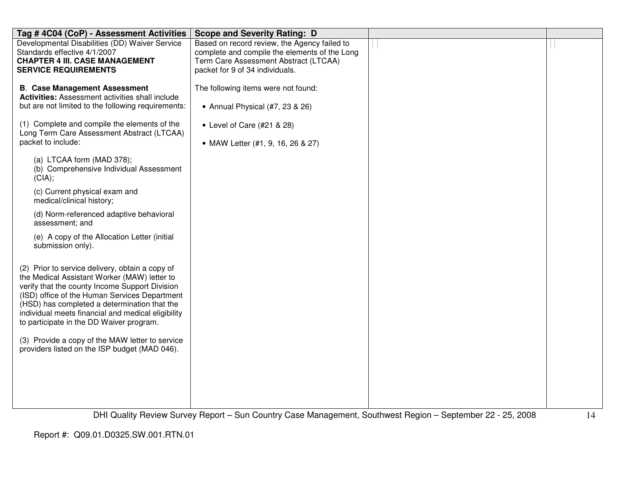| Tag #4C04 (CoP) - Assessment Activities                                                                                                                                                                                                                                                                                                                                                                                                                  | <b>Scope and Severity Rating: D</b>                                                                                                                                       |  |
|----------------------------------------------------------------------------------------------------------------------------------------------------------------------------------------------------------------------------------------------------------------------------------------------------------------------------------------------------------------------------------------------------------------------------------------------------------|---------------------------------------------------------------------------------------------------------------------------------------------------------------------------|--|
| Developmental Disabilities (DD) Waiver Service<br>Standards effective 4/1/2007<br><b>CHAPTER 4 III. CASE MANAGEMENT</b><br><b>SERVICE REQUIREMENTS</b>                                                                                                                                                                                                                                                                                                   | Based on record review, the Agency failed to<br>complete and compile the elements of the Long<br>Term Care Assessment Abstract (LTCAA)<br>packet for 9 of 34 individuals. |  |
| <b>B. Case Management Assessment</b><br><b>Activities:</b> Assessment activities shall include<br>but are not limited to the following requirements:<br>(1) Complete and compile the elements of the<br>Long Term Care Assessment Abstract (LTCAA)                                                                                                                                                                                                       | The following items were not found:<br>• Annual Physical (#7, 23 & 26)<br>• Level of Care (#21 & 28)                                                                      |  |
| packet to include:                                                                                                                                                                                                                                                                                                                                                                                                                                       | • MAW Letter (#1, 9, 16, 26 & 27)                                                                                                                                         |  |
| (a) LTCAA form (MAD 378);<br>(b) Comprehensive Individual Assessment<br>(CIA);                                                                                                                                                                                                                                                                                                                                                                           |                                                                                                                                                                           |  |
| (c) Current physical exam and<br>medical/clinical history;                                                                                                                                                                                                                                                                                                                                                                                               |                                                                                                                                                                           |  |
| (d) Norm-referenced adaptive behavioral<br>assessment; and                                                                                                                                                                                                                                                                                                                                                                                               |                                                                                                                                                                           |  |
| (e) A copy of the Allocation Letter (initial<br>submission only).                                                                                                                                                                                                                                                                                                                                                                                        |                                                                                                                                                                           |  |
| (2) Prior to service delivery, obtain a copy of<br>the Medical Assistant Worker (MAW) letter to<br>verify that the county Income Support Division<br>(ISD) office of the Human Services Department<br>(HSD) has completed a determination that the<br>individual meets financial and medical eligibility<br>to participate in the DD Waiver program.<br>(3) Provide a copy of the MAW letter to service<br>providers listed on the ISP budget (MAD 046). |                                                                                                                                                                           |  |
|                                                                                                                                                                                                                                                                                                                                                                                                                                                          |                                                                                                                                                                           |  |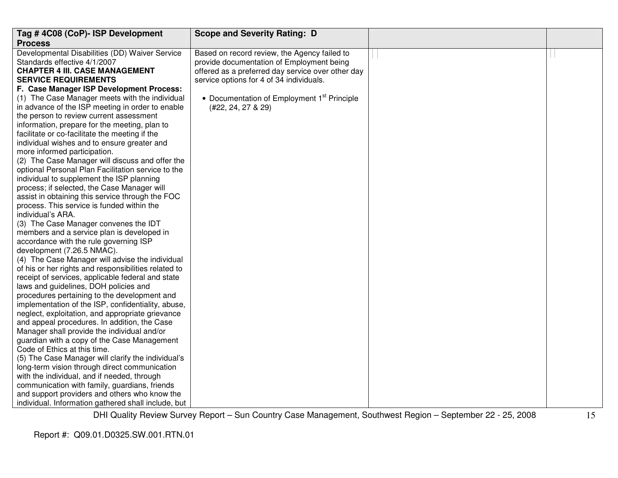| Tag #4C08 (CoP)- ISP Development                                                                   | <b>Scope and Severity Rating: D</b>                     |  |
|----------------------------------------------------------------------------------------------------|---------------------------------------------------------|--|
| <b>Process</b>                                                                                     |                                                         |  |
| Developmental Disabilities (DD) Waiver Service                                                     | Based on record review, the Agency failed to            |  |
| Standards effective 4/1/2007                                                                       | provide documentation of Employment being               |  |
| <b>CHAPTER 4 III. CASE MANAGEMENT</b>                                                              | offered as a preferred day service over other day       |  |
| <b>SERVICE REQUIREMENTS</b>                                                                        | service options for 4 of 34 individuals.                |  |
| F. Case Manager ISP Development Process:                                                           |                                                         |  |
| (1) The Case Manager meets with the individual                                                     | • Documentation of Employment 1 <sup>st</sup> Principle |  |
| in advance of the ISP meeting in order to enable                                                   | (#22, 24, 27 & 29)                                      |  |
| the person to review current assessment                                                            |                                                         |  |
| information, prepare for the meeting, plan to                                                      |                                                         |  |
| facilitate or co-facilitate the meeting if the                                                     |                                                         |  |
| individual wishes and to ensure greater and                                                        |                                                         |  |
| more informed participation.                                                                       |                                                         |  |
| (2) The Case Manager will discuss and offer the                                                    |                                                         |  |
| optional Personal Plan Facilitation service to the                                                 |                                                         |  |
| individual to supplement the ISP planning                                                          |                                                         |  |
| process; if selected, the Case Manager will                                                        |                                                         |  |
| assist in obtaining this service through the FOC                                                   |                                                         |  |
| process. This service is funded within the                                                         |                                                         |  |
| individual's ARA.                                                                                  |                                                         |  |
| (3) The Case Manager convenes the IDT                                                              |                                                         |  |
| members and a service plan is developed in                                                         |                                                         |  |
| accordance with the rule governing ISP                                                             |                                                         |  |
| development (7.26.5 NMAC).                                                                         |                                                         |  |
| (4) The Case Manager will advise the individual                                                    |                                                         |  |
| of his or her rights and responsibilities related to                                               |                                                         |  |
| receipt of services, applicable federal and state                                                  |                                                         |  |
| laws and guidelines, DOH policies and                                                              |                                                         |  |
| procedures pertaining to the development and<br>implementation of the ISP, confidentiality, abuse, |                                                         |  |
| neglect, exploitation, and appropriate grievance                                                   |                                                         |  |
| and appeal procedures. In addition, the Case                                                       |                                                         |  |
| Manager shall provide the individual and/or                                                        |                                                         |  |
| guardian with a copy of the Case Management                                                        |                                                         |  |
| Code of Ethics at this time.                                                                       |                                                         |  |
| (5) The Case Manager will clarify the individual's                                                 |                                                         |  |
| long-term vision through direct communication                                                      |                                                         |  |
| with the individual, and if needed, through                                                        |                                                         |  |
| communication with family, guardians, friends                                                      |                                                         |  |
| and support providers and others who know the                                                      |                                                         |  |
| individual. Information gathered shall include, but                                                |                                                         |  |
|                                                                                                    |                                                         |  |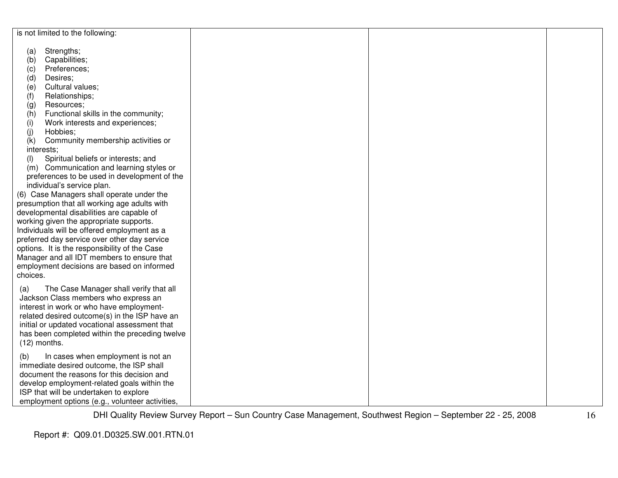|                | is not limited to the following:                                                              |  |  |
|----------------|-----------------------------------------------------------------------------------------------|--|--|
|                | Strengths;                                                                                    |  |  |
| (a)<br>(b)     | Capabilities;                                                                                 |  |  |
| (c)            | Preferences;                                                                                  |  |  |
| (d)            | Desires;                                                                                      |  |  |
| (e)            | Cultural values;                                                                              |  |  |
| (f)            | Relationships;                                                                                |  |  |
| (g)            | Resources;                                                                                    |  |  |
| (h)            | Functional skills in the community;                                                           |  |  |
| (i)            | Work interests and experiences;                                                               |  |  |
| (j)            | Hobbies;                                                                                      |  |  |
| (k)            | Community membership activities or                                                            |  |  |
| interests;     |                                                                                               |  |  |
| (1)            | Spiritual beliefs or interests; and                                                           |  |  |
|                | (m) Communication and learning styles or                                                      |  |  |
|                | preferences to be used in development of the                                                  |  |  |
|                | individual's service plan.                                                                    |  |  |
|                | (6) Case Managers shall operate under the                                                     |  |  |
|                | presumption that all working age adults with                                                  |  |  |
|                | developmental disabilities are capable of                                                     |  |  |
|                | working given the appropriate supports.                                                       |  |  |
|                | Individuals will be offered employment as a                                                   |  |  |
|                | preferred day service over other day service<br>options. It is the responsibility of the Case |  |  |
|                | Manager and all IDT members to ensure that                                                    |  |  |
|                | employment decisions are based on informed                                                    |  |  |
| choices.       |                                                                                               |  |  |
|                |                                                                                               |  |  |
| (a)            | The Case Manager shall verify that all                                                        |  |  |
|                | Jackson Class members who express an                                                          |  |  |
|                | interest in work or who have employment-                                                      |  |  |
|                | related desired outcome(s) in the ISP have an                                                 |  |  |
|                | initial or updated vocational assessment that                                                 |  |  |
|                | has been completed within the preceding twelve                                                |  |  |
| $(12)$ months. |                                                                                               |  |  |
| (b)            | In cases when employment is not an                                                            |  |  |
|                | immediate desired outcome, the ISP shall                                                      |  |  |
|                | document the reasons for this decision and                                                    |  |  |
|                | develop employment-related goals within the                                                   |  |  |
|                | ISP that will be undertaken to explore                                                        |  |  |
|                | employment options (e.g., volunteer activities,                                               |  |  |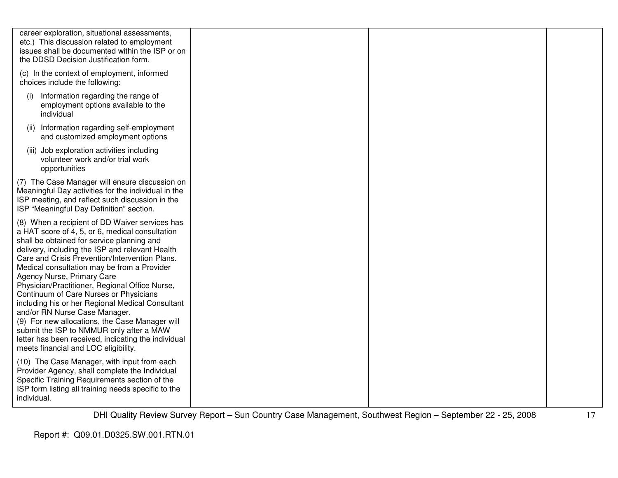| career exploration, situational assessments,<br>etc.) This discussion related to employment<br>issues shall be documented within the ISP or on<br>the DDSD Decision Justification form.                                                                                                                                                                                                                                                                                                                                                                                                                                                                                                                         |  |  |
|-----------------------------------------------------------------------------------------------------------------------------------------------------------------------------------------------------------------------------------------------------------------------------------------------------------------------------------------------------------------------------------------------------------------------------------------------------------------------------------------------------------------------------------------------------------------------------------------------------------------------------------------------------------------------------------------------------------------|--|--|
| (c) In the context of employment, informed<br>choices include the following:                                                                                                                                                                                                                                                                                                                                                                                                                                                                                                                                                                                                                                    |  |  |
| Information regarding the range of<br>(i)<br>employment options available to the<br>individual                                                                                                                                                                                                                                                                                                                                                                                                                                                                                                                                                                                                                  |  |  |
| (ii) Information regarding self-employment<br>and customized employment options                                                                                                                                                                                                                                                                                                                                                                                                                                                                                                                                                                                                                                 |  |  |
| (iii) Job exploration activities including<br>volunteer work and/or trial work<br>opportunities                                                                                                                                                                                                                                                                                                                                                                                                                                                                                                                                                                                                                 |  |  |
| (7) The Case Manager will ensure discussion on<br>Meaningful Day activities for the individual in the<br>ISP meeting, and reflect such discussion in the<br>ISP "Meaningful Day Definition" section.                                                                                                                                                                                                                                                                                                                                                                                                                                                                                                            |  |  |
| (8) When a recipient of DD Waiver services has<br>a HAT score of 4, 5, or 6, medical consultation<br>shall be obtained for service planning and<br>delivery, including the ISP and relevant Health<br>Care and Crisis Prevention/Intervention Plans.<br>Medical consultation may be from a Provider<br>Agency Nurse, Primary Care<br>Physician/Practitioner, Regional Office Nurse,<br>Continuum of Care Nurses or Physicians<br>including his or her Regional Medical Consultant<br>and/or RN Nurse Case Manager.<br>(9) For new allocations, the Case Manager will<br>submit the ISP to NMMUR only after a MAW<br>letter has been received, indicating the individual<br>meets financial and LOC eligibility. |  |  |
| (10) The Case Manager, with input from each<br>Provider Agency, shall complete the Individual<br>Specific Training Requirements section of the<br>ISP form listing all training needs specific to the<br>individual.                                                                                                                                                                                                                                                                                                                                                                                                                                                                                            |  |  |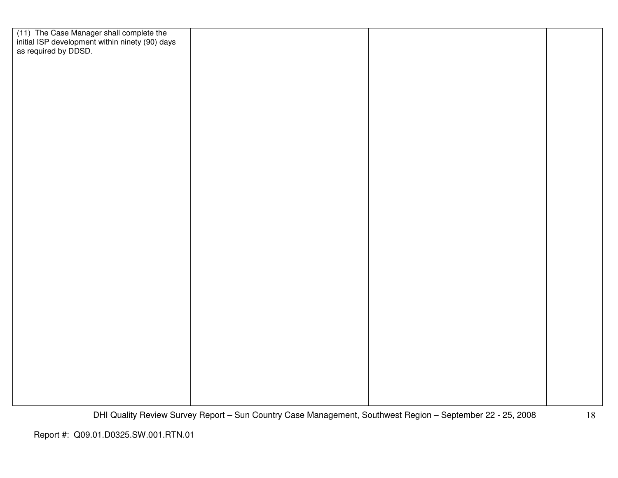| (11) The Case Manager shall complete the<br>initial ISP development within ninety (90) days<br>as required by DDSD. |  |  |
|---------------------------------------------------------------------------------------------------------------------|--|--|
|                                                                                                                     |  |  |
|                                                                                                                     |  |  |
|                                                                                                                     |  |  |
|                                                                                                                     |  |  |
|                                                                                                                     |  |  |
|                                                                                                                     |  |  |
|                                                                                                                     |  |  |
|                                                                                                                     |  |  |
|                                                                                                                     |  |  |
|                                                                                                                     |  |  |
|                                                                                                                     |  |  |
|                                                                                                                     |  |  |
|                                                                                                                     |  |  |
|                                                                                                                     |  |  |
|                                                                                                                     |  |  |
|                                                                                                                     |  |  |
|                                                                                                                     |  |  |
|                                                                                                                     |  |  |
|                                                                                                                     |  |  |
|                                                                                                                     |  |  |
|                                                                                                                     |  |  |
|                                                                                                                     |  |  |
|                                                                                                                     |  |  |
|                                                                                                                     |  |  |
|                                                                                                                     |  |  |
|                                                                                                                     |  |  |
|                                                                                                                     |  |  |
|                                                                                                                     |  |  |
|                                                                                                                     |  |  |
|                                                                                                                     |  |  |
|                                                                                                                     |  |  |
|                                                                                                                     |  |  |
|                                                                                                                     |  |  |
|                                                                                                                     |  |  |
|                                                                                                                     |  |  |
|                                                                                                                     |  |  |
|                                                                                                                     |  |  |
|                                                                                                                     |  |  |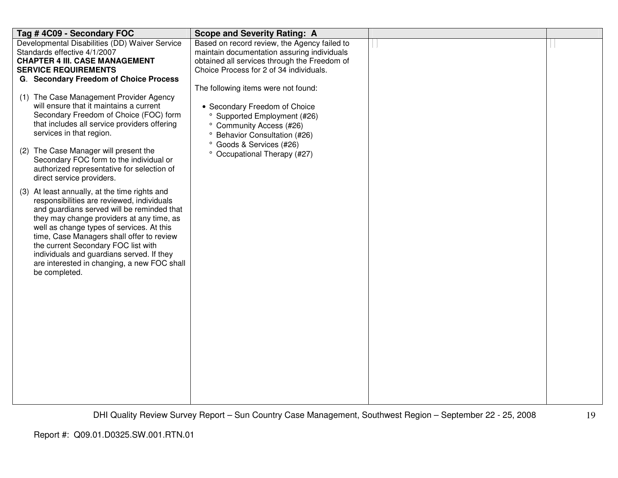| Tag #4C09 - Secondary FOC                                                                                                                                                                                                                                                                                                                                                                                                                                                                                                                                                                                                                                                                                                                                                                                       | <b>Scope and Severity Rating: A</b>                                                                                                                                                                                                                 |  |
|-----------------------------------------------------------------------------------------------------------------------------------------------------------------------------------------------------------------------------------------------------------------------------------------------------------------------------------------------------------------------------------------------------------------------------------------------------------------------------------------------------------------------------------------------------------------------------------------------------------------------------------------------------------------------------------------------------------------------------------------------------------------------------------------------------------------|-----------------------------------------------------------------------------------------------------------------------------------------------------------------------------------------------------------------------------------------------------|--|
| Developmental Disabilities (DD) Waiver Service<br>Standards effective 4/1/2007<br><b>CHAPTER 4 III. CASE MANAGEMENT</b><br><b>SERVICE REQUIREMENTS</b><br>G. Secondary Freedom of Choice Process                                                                                                                                                                                                                                                                                                                                                                                                                                                                                                                                                                                                                | Based on record review, the Agency failed to<br>maintain documentation assuring individuals<br>obtained all services through the Freedom of<br>Choice Process for 2 of 34 individuals.                                                              |  |
| (1) The Case Management Provider Agency<br>will ensure that it maintains a current<br>Secondary Freedom of Choice (FOC) form<br>that includes all service providers offering<br>services in that region.<br>(2) The Case Manager will present the<br>Secondary FOC form to the individual or<br>authorized representative for selection of<br>direct service providers.<br>(3) At least annually, at the time rights and<br>responsibilities are reviewed, individuals<br>and guardians served will be reminded that<br>they may change providers at any time, as<br>well as change types of services. At this<br>time, Case Managers shall offer to review<br>the current Secondary FOC list with<br>individuals and guardians served. If they<br>are interested in changing, a new FOC shall<br>be completed. | The following items were not found:<br>• Secondary Freedom of Choice<br><sup>o</sup> Supported Employment (#26)<br>° Community Access (#26)<br><sup>o</sup> Behavior Consultation (#26)<br>° Goods & Services (#26)<br>° Occupational Therapy (#27) |  |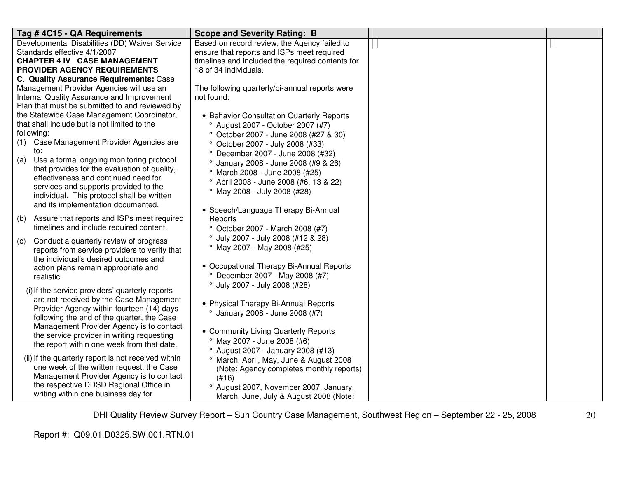| Tag #4C15 - QA Requirements                          | <b>Scope and Severity Rating: B</b>                |  |
|------------------------------------------------------|----------------------------------------------------|--|
| Developmental Disabilities (DD) Waiver Service       | Based on record review, the Agency failed to       |  |
| Standards effective 4/1/2007                         | ensure that reports and ISPs meet required         |  |
| <b>CHAPTER 4 IV. CASE MANAGEMENT</b>                 | timelines and included the required contents for   |  |
| PROVIDER AGENCY REQUIREMENTS                         | 18 of 34 individuals.                              |  |
| C. Quality Assurance Requirements: Case              |                                                    |  |
| Management Provider Agencies will use an             | The following quarterly/bi-annual reports were     |  |
| Internal Quality Assurance and Improvement           | not found:                                         |  |
| Plan that must be submitted to and reviewed by       |                                                    |  |
| the Statewide Case Management Coordinator,           | • Behavior Consultation Quarterly Reports          |  |
| that shall include but is not limited to the         | <sup>o</sup> August 2007 - October 2007 (#7)       |  |
| following:                                           | ° October 2007 - June 2008 (#27 & 30)              |  |
| (1) Case Management Provider Agencies are            | ° October 2007 - July 2008 (#33)                   |  |
| to:                                                  | ° December 2007 - June 2008 (#32)                  |  |
| Use a formal ongoing monitoring protocol<br>(a)      | ° January 2008 - June 2008 (#9 & 26)               |  |
| that provides for the evaluation of quality,         | <sup>o</sup> March 2008 - June 2008 (#25)          |  |
| effectiveness and continued need for                 | <sup>o</sup> April 2008 - June 2008 (#6, 13 & 22)  |  |
| services and supports provided to the                | ° May 2008 - July 2008 (#28)                       |  |
| individual. This protocol shall be written           |                                                    |  |
| and its implementation documented.                   | • Speech/Language Therapy Bi-Annual                |  |
| Assure that reports and ISPs meet required<br>(b)    | Reports                                            |  |
| timelines and include required content.              | ° October 2007 - March 2008 (#7)                   |  |
| Conduct a quarterly review of progress               | <sup>o</sup> July 2007 - July 2008 (#12 & 28)      |  |
| (C)<br>reports from service providers to verify that | $^{\circ}$ May 2007 - May 2008 (#25)               |  |
| the individual's desired outcomes and                |                                                    |  |
| action plans remain appropriate and                  | • Occupational Therapy Bi-Annual Reports           |  |
| realistic.                                           | ° December 2007 - May 2008 (#7)                    |  |
|                                                      | ° July 2007 - July 2008 (#28)                      |  |
| (i) If the service providers' quarterly reports      |                                                    |  |
| are not received by the Case Management              | • Physical Therapy Bi-Annual Reports               |  |
| Provider Agency within fourteen (14) days            | <sup>o</sup> January 2008 - June 2008 (#7)         |  |
| following the end of the quarter, the Case           |                                                    |  |
| Management Provider Agency is to contact             | • Community Living Quarterly Reports               |  |
| the service provider in writing requesting           | ° May 2007 - June 2008 (#6)                        |  |
| the report within one week from that date.           | <sup>o</sup> August 2007 - January 2008 (#13)      |  |
| (ii) If the quarterly report is not received within  | <sup>o</sup> March, April, May, June & August 2008 |  |
| one week of the written request, the Case            | (Note: Agency completes monthly reports)           |  |
| Management Provider Agency is to contact             | (H16)                                              |  |
| the respective DDSD Regional Office in               | ° August 2007, November 2007, January,             |  |
| writing within one business day for                  | March, June, July & August 2008 (Note:             |  |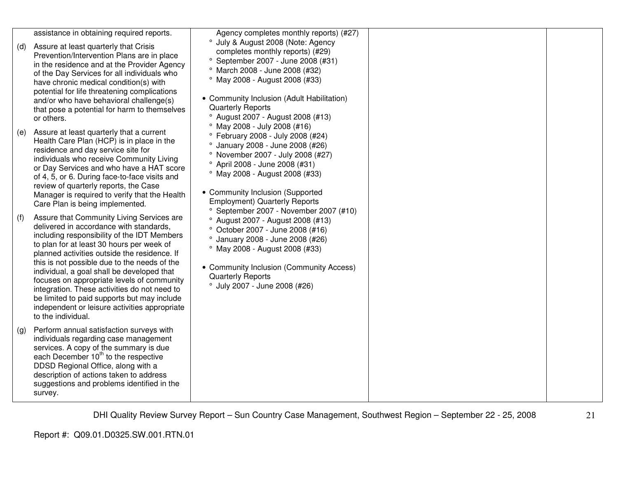|     | assistance in obtaining required reports.                                                                                                                                                                                                                                                                                                                                                                                                                                                                                                          | Agency completes monthly reports) (#27)                                                                                                                                                                                                                                                                                                                               |  |
|-----|----------------------------------------------------------------------------------------------------------------------------------------------------------------------------------------------------------------------------------------------------------------------------------------------------------------------------------------------------------------------------------------------------------------------------------------------------------------------------------------------------------------------------------------------------|-----------------------------------------------------------------------------------------------------------------------------------------------------------------------------------------------------------------------------------------------------------------------------------------------------------------------------------------------------------------------|--|
| (d) | Assure at least quarterly that Crisis<br>Prevention/Intervention Plans are in place<br>in the residence and at the Provider Agency<br>of the Day Services for all individuals who<br>have chronic medical condition(s) with<br>potential for life threatening complications<br>and/or who have behavioral challenge(s)<br>that pose a potential for harm to themselves                                                                                                                                                                             | ° July & August 2008 (Note: Agency<br>completes monthly reports) (#29)<br>° September 2007 - June 2008 (#31)<br><sup>o</sup> March 2008 - June 2008 (#32)<br>° May 2008 - August 2008 (#33)<br>• Community Inclusion (Adult Habilitation)<br><b>Quarterly Reports</b>                                                                                                 |  |
|     | or others.                                                                                                                                                                                                                                                                                                                                                                                                                                                                                                                                         | <sup>o</sup> August 2007 - August 2008 (#13)                                                                                                                                                                                                                                                                                                                          |  |
| (e) | Assure at least quarterly that a current<br>Health Care Plan (HCP) is in place in the<br>residence and day service site for<br>individuals who receive Community Living<br>or Day Services and who have a HAT score<br>of 4, 5, or 6. During face-to-face visits and<br>review of quarterly reports, the Case<br>Manager is required to verify that the Health<br>Care Plan is being implemented.                                                                                                                                                  | ° May 2008 - July 2008 (#16)<br>° February 2008 - July 2008 (#24)<br><sup>o</sup> January 2008 - June 2008 (#26)<br>° November 2007 - July 2008 (#27)<br><sup>o</sup> April 2008 - June 2008 (#31)<br>° May 2008 - August 2008 (#33)<br>• Community Inclusion (Supported<br><b>Employment) Quarterly Reports</b><br><sup>o</sup> September 2007 - November 2007 (#10) |  |
| (f) | Assure that Community Living Services are<br>delivered in accordance with standards,<br>including responsibility of the IDT Members<br>to plan for at least 30 hours per week of<br>planned activities outside the residence. If<br>this is not possible due to the needs of the<br>individual, a goal shall be developed that<br>focuses on appropriate levels of community<br>integration. These activities do not need to<br>be limited to paid supports but may include<br>independent or leisure activities appropriate<br>to the individual. | <sup>o</sup> August 2007 - August 2008 (#13)<br>° October 2007 - June 2008 (#16)<br><sup>o</sup> January 2008 - June 2008 (#26)<br>° May 2008 - August 2008 (#33)<br>• Community Inclusion (Community Access)<br><b>Quarterly Reports</b><br>° July 2007 - June 2008 (#26)                                                                                            |  |
| (g) | Perform annual satisfaction surveys with<br>individuals regarding case management<br>services. A copy of the summary is due<br>each December 10 <sup>th</sup> to the respective<br>DDSD Regional Office, along with a<br>description of actions taken to address<br>suggestions and problems identified in the<br>survey.                                                                                                                                                                                                                          |                                                                                                                                                                                                                                                                                                                                                                       |  |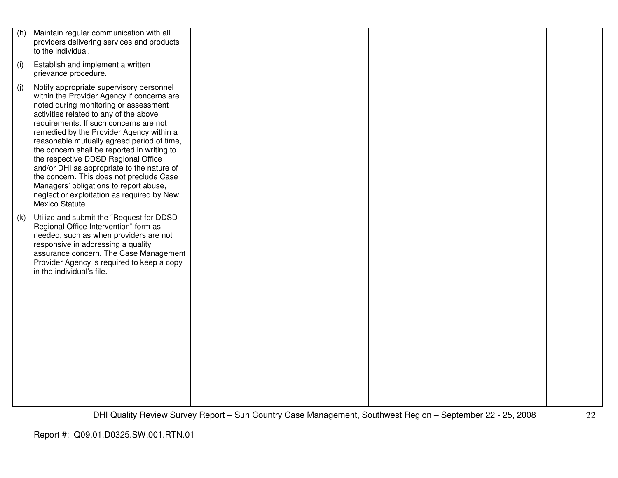| (h) | Maintain regular communication with all<br>providers delivering services and products<br>to the individual.                                                                                                                                                                                                                                                                                                                                                                                                                                                                                              |  |  |
|-----|----------------------------------------------------------------------------------------------------------------------------------------------------------------------------------------------------------------------------------------------------------------------------------------------------------------------------------------------------------------------------------------------------------------------------------------------------------------------------------------------------------------------------------------------------------------------------------------------------------|--|--|
| (i) | Establish and implement a written<br>grievance procedure.                                                                                                                                                                                                                                                                                                                                                                                                                                                                                                                                                |  |  |
| (j) | Notify appropriate supervisory personnel<br>within the Provider Agency if concerns are<br>noted during monitoring or assessment<br>activities related to any of the above<br>requirements. If such concerns are not<br>remedied by the Provider Agency within a<br>reasonable mutually agreed period of time,<br>the concern shall be reported in writing to<br>the respective DDSD Regional Office<br>and/or DHI as appropriate to the nature of<br>the concern. This does not preclude Case<br>Managers' obligations to report abuse,<br>neglect or exploitation as required by New<br>Mexico Statute. |  |  |
| (k) | Utilize and submit the "Request for DDSD<br>Regional Office Intervention" form as<br>needed, such as when providers are not<br>responsive in addressing a quality<br>assurance concern. The Case Management<br>Provider Agency is required to keep a copy<br>in the individual's file.                                                                                                                                                                                                                                                                                                                   |  |  |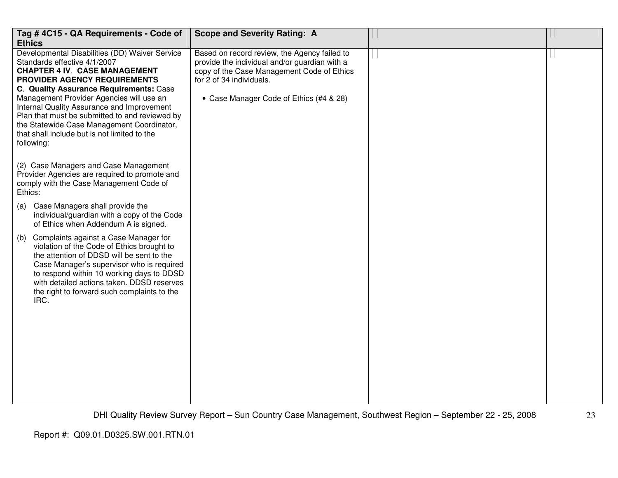| Tag # 4C15 - QA Requirements - Code of<br><b>Ethics</b>                                                                                                                                                                                                                                                                                                                                                                                                                                                                                                                                                                                                                                                                                                                                                                                                                                                                                                                                                                                                                              | <b>Scope and Severity Rating: A</b>                                                                                                                                                                                |  |
|--------------------------------------------------------------------------------------------------------------------------------------------------------------------------------------------------------------------------------------------------------------------------------------------------------------------------------------------------------------------------------------------------------------------------------------------------------------------------------------------------------------------------------------------------------------------------------------------------------------------------------------------------------------------------------------------------------------------------------------------------------------------------------------------------------------------------------------------------------------------------------------------------------------------------------------------------------------------------------------------------------------------------------------------------------------------------------------|--------------------------------------------------------------------------------------------------------------------------------------------------------------------------------------------------------------------|--|
| Developmental Disabilities (DD) Waiver Service<br>Standards effective 4/1/2007<br><b>CHAPTER 4 IV. CASE MANAGEMENT</b><br>PROVIDER AGENCY REQUIREMENTS<br>C. Quality Assurance Requirements: Case<br>Management Provider Agencies will use an<br>Internal Quality Assurance and Improvement<br>Plan that must be submitted to and reviewed by<br>the Statewide Case Management Coordinator,<br>that shall include but is not limited to the<br>following:<br>(2) Case Managers and Case Management<br>Provider Agencies are required to promote and<br>comply with the Case Management Code of<br>Ethics:<br>Case Managers shall provide the<br>(a)<br>individual/guardian with a copy of the Code<br>of Ethics when Addendum A is signed.<br>Complaints against a Case Manager for<br>(b)<br>violation of the Code of Ethics brought to<br>the attention of DDSD will be sent to the<br>Case Manager's supervisor who is required<br>to respond within 10 working days to DDSD<br>with detailed actions taken. DDSD reserves<br>the right to forward such complaints to the<br>IRC. | Based on record review, the Agency failed to<br>provide the individual and/or guardian with a<br>copy of the Case Management Code of Ethics<br>for 2 of 34 individuals.<br>• Case Manager Code of Ethics (#4 & 28) |  |
|                                                                                                                                                                                                                                                                                                                                                                                                                                                                                                                                                                                                                                                                                                                                                                                                                                                                                                                                                                                                                                                                                      |                                                                                                                                                                                                                    |  |
|                                                                                                                                                                                                                                                                                                                                                                                                                                                                                                                                                                                                                                                                                                                                                                                                                                                                                                                                                                                                                                                                                      |                                                                                                                                                                                                                    |  |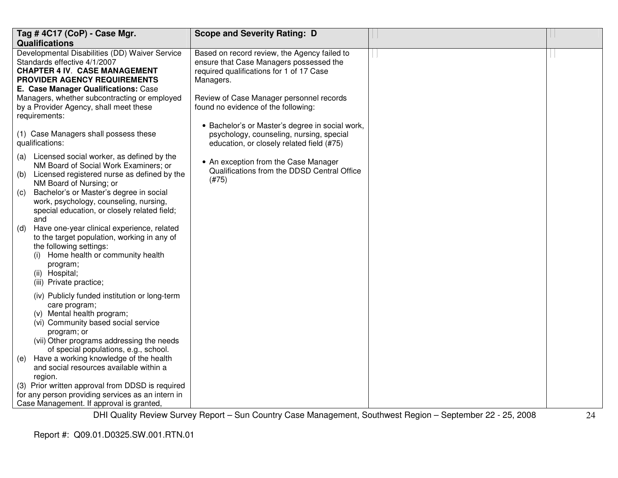| Tag #4C17 (CoP) - Case Mgr.                                                                                                                                                                                                                                                                                                                                                                                                                                                                                                                                                                                                                                                                                                                                        | <b>Scope and Severity Rating: D</b>                                                                                                                                                                                                 |  |
|--------------------------------------------------------------------------------------------------------------------------------------------------------------------------------------------------------------------------------------------------------------------------------------------------------------------------------------------------------------------------------------------------------------------------------------------------------------------------------------------------------------------------------------------------------------------------------------------------------------------------------------------------------------------------------------------------------------------------------------------------------------------|-------------------------------------------------------------------------------------------------------------------------------------------------------------------------------------------------------------------------------------|--|
| <b>Qualifications</b>                                                                                                                                                                                                                                                                                                                                                                                                                                                                                                                                                                                                                                                                                                                                              |                                                                                                                                                                                                                                     |  |
| Developmental Disabilities (DD) Waiver Service<br>Standards effective 4/1/2007<br><b>CHAPTER 4 IV. CASE MANAGEMENT</b><br>PROVIDER AGENCY REQUIREMENTS<br>E. Case Manager Qualifications: Case<br>Managers, whether subcontracting or employed<br>by a Provider Agency, shall meet these<br>requirements:                                                                                                                                                                                                                                                                                                                                                                                                                                                          | Based on record review, the Agency failed to<br>ensure that Case Managers possessed the<br>required qualifications for 1 of 17 Case<br>Managers.<br>Review of Case Manager personnel records<br>found no evidence of the following: |  |
| (1) Case Managers shall possess these<br>qualifications:                                                                                                                                                                                                                                                                                                                                                                                                                                                                                                                                                                                                                                                                                                           | • Bachelor's or Master's degree in social work,<br>psychology, counseling, nursing, special<br>education, or closely related field (#75)                                                                                            |  |
| Licensed social worker, as defined by the<br>(a)<br>NM Board of Social Work Examiners; or<br>Licensed registered nurse as defined by the<br>(b)<br>NM Board of Nursing; or<br>Bachelor's or Master's degree in social<br>(C)<br>work, psychology, counseling, nursing,<br>special education, or closely related field;<br>and<br>Have one-year clinical experience, related<br>(d)<br>to the target population, working in any of<br>the following settings:<br>Home health or community health<br>(i)<br>program;<br>(ii) Hospital;<br>(iii) Private practice;<br>(iv) Publicly funded institution or long-term<br>care program;<br>(v) Mental health program;<br>(vi) Community based social service<br>program; or<br>(vii) Other programs addressing the needs | • An exception from the Case Manager<br>Qualifications from the DDSD Central Office<br>(#75)                                                                                                                                        |  |
| of special populations, e.g., school.<br>Have a working knowledge of the health<br>(e)<br>and social resources available within a<br>region.<br>(3) Prior written approval from DDSD is required<br>for any person providing services as an intern in<br>Case Management. If approval is granted,                                                                                                                                                                                                                                                                                                                                                                                                                                                                  |                                                                                                                                                                                                                                     |  |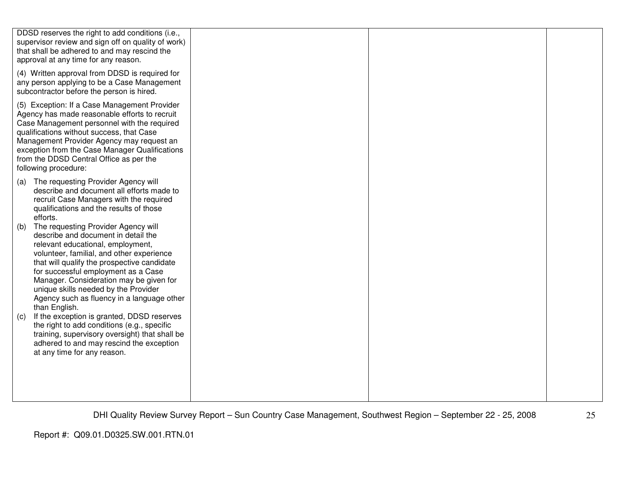|                   | DDSD reserves the right to add conditions (i.e.,<br>supervisor review and sign off on quality of work)<br>that shall be adhered to and may rescind the<br>approval at any time for any reason.                                                                                                                                                                                                                                                                                                                                                                                                                                                                                                                                                                                                                       |  |  |
|-------------------|----------------------------------------------------------------------------------------------------------------------------------------------------------------------------------------------------------------------------------------------------------------------------------------------------------------------------------------------------------------------------------------------------------------------------------------------------------------------------------------------------------------------------------------------------------------------------------------------------------------------------------------------------------------------------------------------------------------------------------------------------------------------------------------------------------------------|--|--|
|                   | (4) Written approval from DDSD is required for<br>any person applying to be a Case Management<br>subcontractor before the person is hired.                                                                                                                                                                                                                                                                                                                                                                                                                                                                                                                                                                                                                                                                           |  |  |
|                   | (5) Exception: If a Case Management Provider<br>Agency has made reasonable efforts to recruit<br>Case Management personnel with the required<br>qualifications without success, that Case<br>Management Provider Agency may request an<br>exception from the Case Manager Qualifications<br>from the DDSD Central Office as per the<br>following procedure:                                                                                                                                                                                                                                                                                                                                                                                                                                                          |  |  |
| (a)<br>(b)<br>(C) | The requesting Provider Agency will<br>describe and document all efforts made to<br>recruit Case Managers with the required<br>qualifications and the results of those<br>efforts.<br>The requesting Provider Agency will<br>describe and document in detail the<br>relevant educational, employment,<br>volunteer, familial, and other experience<br>that will qualify the prospective candidate<br>for successful employment as a Case<br>Manager. Consideration may be given for<br>unique skills needed by the Provider<br>Agency such as fluency in a language other<br>than English.<br>If the exception is granted, DDSD reserves<br>the right to add conditions (e.g., specific<br>training, supervisory oversight) that shall be<br>adhered to and may rescind the exception<br>at any time for any reason. |  |  |
|                   |                                                                                                                                                                                                                                                                                                                                                                                                                                                                                                                                                                                                                                                                                                                                                                                                                      |  |  |